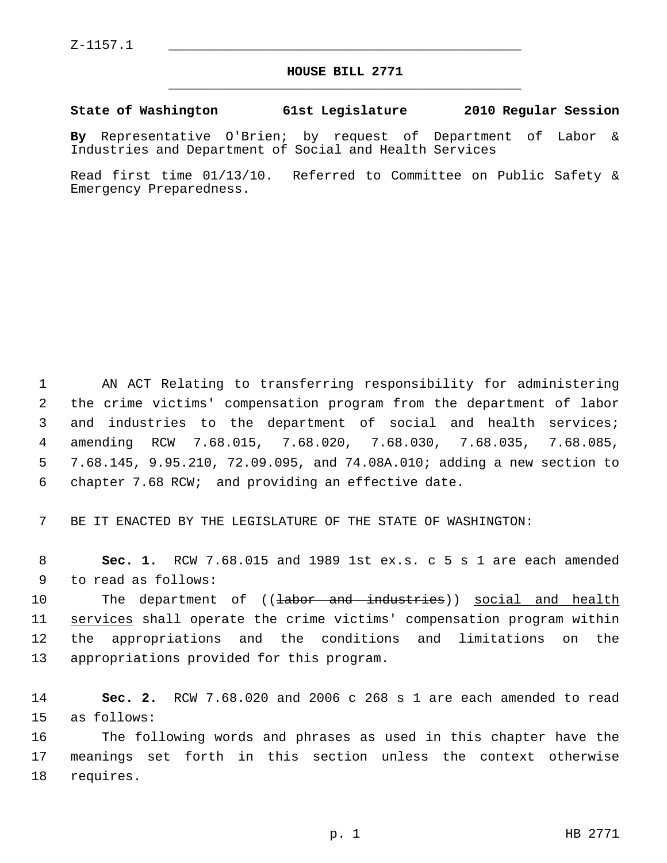$Z-1157.1$ 

## **HOUSE BILL 2771** \_\_\_\_\_\_\_\_\_\_\_\_\_\_\_\_\_\_\_\_\_\_\_\_\_\_\_\_\_\_\_\_\_\_\_\_\_\_\_\_\_\_\_\_\_

## **State of Washington 61st Legislature 2010 Regular Session**

**By** Representative O'Brien; by request of Department of Labor & Industries and Department of Social and Health Services

Read first time 01/13/10. Referred to Committee on Public Safety & Emergency Preparedness.

 1 AN ACT Relating to transferring responsibility for administering 2 the crime victims' compensation program from the department of labor 3 and industries to the department of social and health services; 4 amending RCW 7.68.015, 7.68.020, 7.68.030, 7.68.035, 7.68.085, 5 7.68.145, 9.95.210, 72.09.095, and 74.08A.010; adding a new section to 6 chapter 7.68 RCW; and providing an effective date.

7 BE IT ENACTED BY THE LEGISLATURE OF THE STATE OF WASHINGTON:

 8 **Sec. 1.** RCW 7.68.015 and 1989 1st ex.s. c 5 s 1 are each amended 9 to read as follows:

10 The department of ((<del>labor and industries</del>)) social and health 11 services shall operate the crime victims' compensation program within 12 the appropriations and the conditions and limitations on the 13 appropriations provided for this program.

14 **Sec. 2.** RCW 7.68.020 and 2006 c 268 s 1 are each amended to read 15 as follows:

16 The following words and phrases as used in this chapter have the 17 meanings set forth in this section unless the context otherwise 18 requires.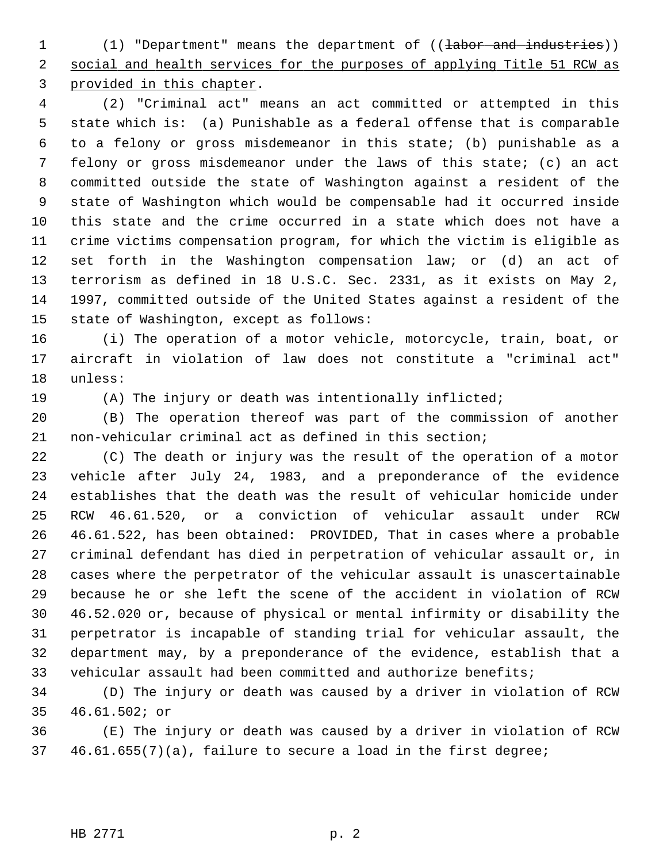1 (1) "Department" means the department of ((labor and industries)) 2 social and health services for the purposes of applying Title 51 RCW as 3 provided in this chapter.

 4 (2) "Criminal act" means an act committed or attempted in this 5 state which is: (a) Punishable as a federal offense that is comparable 6 to a felony or gross misdemeanor in this state; (b) punishable as a 7 felony or gross misdemeanor under the laws of this state; (c) an act 8 committed outside the state of Washington against a resident of the 9 state of Washington which would be compensable had it occurred inside 10 this state and the crime occurred in a state which does not have a 11 crime victims compensation program, for which the victim is eligible as 12 set forth in the Washington compensation law; or (d) an act of 13 terrorism as defined in 18 U.S.C. Sec. 2331, as it exists on May 2, 14 1997, committed outside of the United States against a resident of the 15 state of Washington, except as follows:

16 (i) The operation of a motor vehicle, motorcycle, train, boat, or 17 aircraft in violation of law does not constitute a "criminal act" 18 unless:

19 (A) The injury or death was intentionally inflicted;

20 (B) The operation thereof was part of the commission of another 21 non-vehicular criminal act as defined in this section;

22 (C) The death or injury was the result of the operation of a motor 23 vehicle after July 24, 1983, and a preponderance of the evidence 24 establishes that the death was the result of vehicular homicide under 25 RCW 46.61.520, or a conviction of vehicular assault under RCW 26 46.61.522, has been obtained: PROVIDED, That in cases where a probable 27 criminal defendant has died in perpetration of vehicular assault or, in 28 cases where the perpetrator of the vehicular assault is unascertainable 29 because he or she left the scene of the accident in violation of RCW 30 46.52.020 or, because of physical or mental infirmity or disability the 31 perpetrator is incapable of standing trial for vehicular assault, the 32 department may, by a preponderance of the evidence, establish that a 33 vehicular assault had been committed and authorize benefits;

34 (D) The injury or death was caused by a driver in violation of RCW 35 46.61.502; or

36 (E) The injury or death was caused by a driver in violation of RCW 37 46.61.655(7)(a), failure to secure a load in the first degree;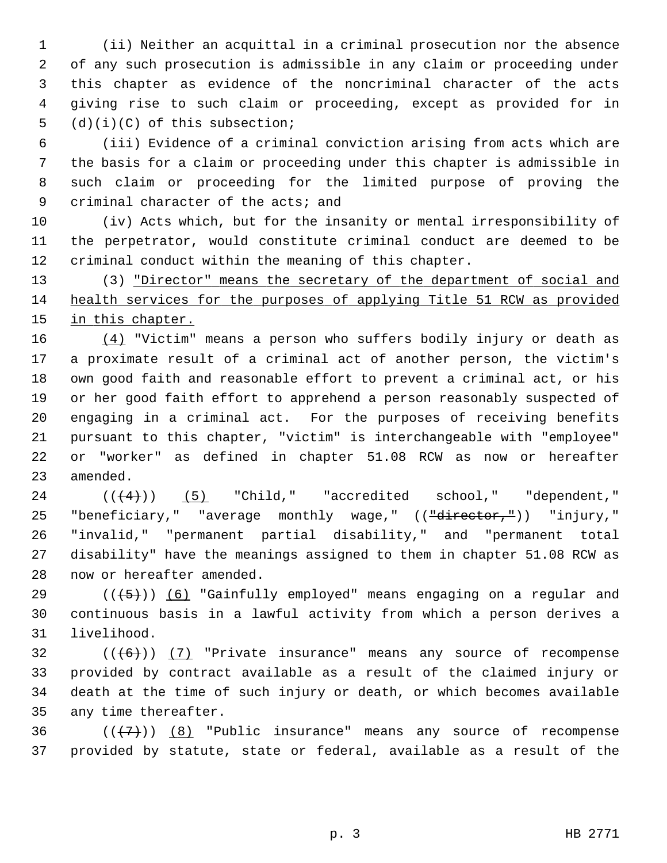1 (ii) Neither an acquittal in a criminal prosecution nor the absence 2 of any such prosecution is admissible in any claim or proceeding under 3 this chapter as evidence of the noncriminal character of the acts 4 giving rise to such claim or proceeding, except as provided for in 5 (d)(i)(C) of this subsection;

 6 (iii) Evidence of a criminal conviction arising from acts which are 7 the basis for a claim or proceeding under this chapter is admissible in 8 such claim or proceeding for the limited purpose of proving the 9 criminal character of the acts; and

10 (iv) Acts which, but for the insanity or mental irresponsibility of 11 the perpetrator, would constitute criminal conduct are deemed to be 12 criminal conduct within the meaning of this chapter.

13 (3) "Director" means the secretary of the department of social and 14 health services for the purposes of applying Title 51 RCW as provided 15 in this chapter.

16 (4) "Victim" means a person who suffers bodily injury or death as 17 a proximate result of a criminal act of another person, the victim's 18 own good faith and reasonable effort to prevent a criminal act, or his 19 or her good faith effort to apprehend a person reasonably suspected of 20 engaging in a criminal act. For the purposes of receiving benefits 21 pursuant to this chapter, "victim" is interchangeable with "employee" 22 or "worker" as defined in chapter 51.08 RCW as now or hereafter 23 amended.

 $24$   $((+4))$   $(5)$  "Child," "accredited school," "dependent," 25 "beneficiary," "average monthly wage," ((<del>"director,"</del>)) "injury," 26 "invalid," "permanent partial disability," and "permanent total 27 disability" have the meanings assigned to them in chapter 51.08 RCW as 28 now or hereafter amended.

29 ( $(\overline{5})$ ) (6) "Gainfully employed" means engaging on a regular and 30 continuous basis in a lawful activity from which a person derives a 31 livelihood.

 $32$  (( $\left(\frac{6}{1}\right)$ ) (7) "Private insurance" means any source of recompense 33 provided by contract available as a result of the claimed injury or 34 death at the time of such injury or death, or which becomes available 35 any time thereafter.

36  $((+7)^{n})$  (8) "Public insurance" means any source of recompense 37 provided by statute, state or federal, available as a result of the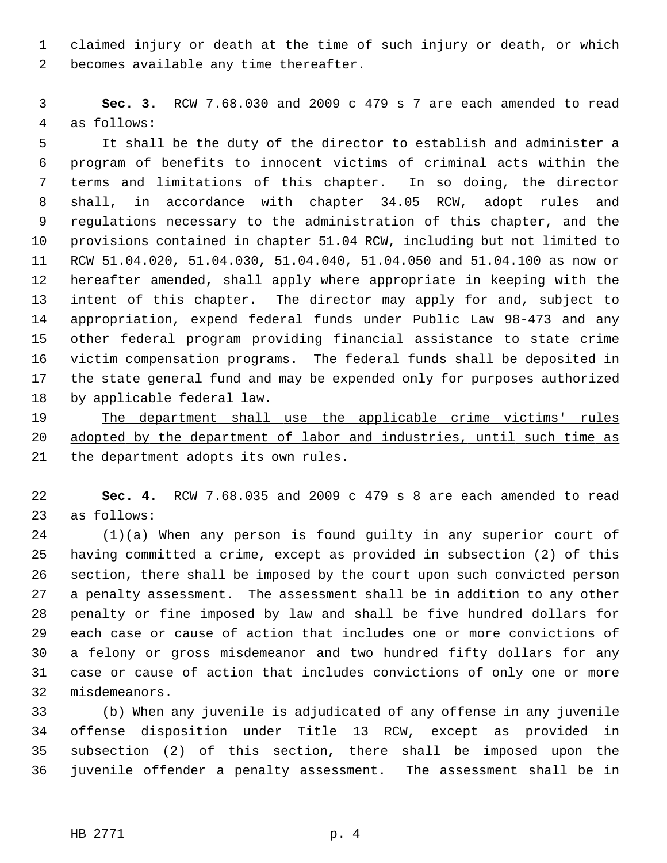1 claimed injury or death at the time of such injury or death, or which 2 becomes available any time thereafter.

 3 **Sec. 3.** RCW 7.68.030 and 2009 c 479 s 7 are each amended to read 4 as follows:

 5 It shall be the duty of the director to establish and administer a 6 program of benefits to innocent victims of criminal acts within the 7 terms and limitations of this chapter. In so doing, the director 8 shall, in accordance with chapter 34.05 RCW, adopt rules and 9 regulations necessary to the administration of this chapter, and the 10 provisions contained in chapter 51.04 RCW, including but not limited to 11 RCW 51.04.020, 51.04.030, 51.04.040, 51.04.050 and 51.04.100 as now or 12 hereafter amended, shall apply where appropriate in keeping with the 13 intent of this chapter. The director may apply for and, subject to 14 appropriation, expend federal funds under Public Law 98-473 and any 15 other federal program providing financial assistance to state crime 16 victim compensation programs. The federal funds shall be deposited in 17 the state general fund and may be expended only for purposes authorized 18 by applicable federal law.

19 The department shall use the applicable crime victims' rules 20 adopted by the department of labor and industries, until such time as 21 the department adopts its own rules.

22 **Sec. 4.** RCW 7.68.035 and 2009 c 479 s 8 are each amended to read 23 as follows:

24 (1)(a) When any person is found guilty in any superior court of 25 having committed a crime, except as provided in subsection (2) of this 26 section, there shall be imposed by the court upon such convicted person 27 a penalty assessment. The assessment shall be in addition to any other 28 penalty or fine imposed by law and shall be five hundred dollars for 29 each case or cause of action that includes one or more convictions of 30 a felony or gross misdemeanor and two hundred fifty dollars for any 31 case or cause of action that includes convictions of only one or more 32 misdemeanors.

33 (b) When any juvenile is adjudicated of any offense in any juvenile 34 offense disposition under Title 13 RCW, except as provided in 35 subsection (2) of this section, there shall be imposed upon the 36 juvenile offender a penalty assessment. The assessment shall be in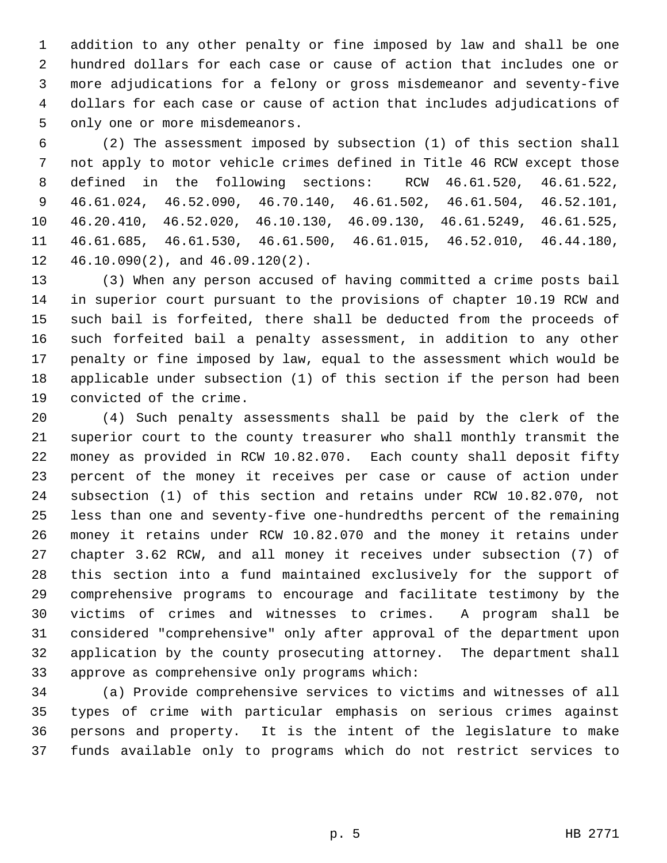1 addition to any other penalty or fine imposed by law and shall be one 2 hundred dollars for each case or cause of action that includes one or 3 more adjudications for a felony or gross misdemeanor and seventy-five 4 dollars for each case or cause of action that includes adjudications of 5 only one or more misdemeanors.

 6 (2) The assessment imposed by subsection (1) of this section shall 7 not apply to motor vehicle crimes defined in Title 46 RCW except those 8 defined in the following sections: RCW 46.61.520, 46.61.522, 9 46.61.024, 46.52.090, 46.70.140, 46.61.502, 46.61.504, 46.52.101, 10 46.20.410, 46.52.020, 46.10.130, 46.09.130, 46.61.5249, 46.61.525, 11 46.61.685, 46.61.530, 46.61.500, 46.61.015, 46.52.010, 46.44.180, 12 46.10.090(2), and 46.09.120(2).

13 (3) When any person accused of having committed a crime posts bail 14 in superior court pursuant to the provisions of chapter 10.19 RCW and 15 such bail is forfeited, there shall be deducted from the proceeds of 16 such forfeited bail a penalty assessment, in addition to any other 17 penalty or fine imposed by law, equal to the assessment which would be 18 applicable under subsection (1) of this section if the person had been 19 convicted of the crime.

20 (4) Such penalty assessments shall be paid by the clerk of the 21 superior court to the county treasurer who shall monthly transmit the 22 money as provided in RCW 10.82.070. Each county shall deposit fifty 23 percent of the money it receives per case or cause of action under 24 subsection (1) of this section and retains under RCW 10.82.070, not 25 less than one and seventy-five one-hundredths percent of the remaining 26 money it retains under RCW 10.82.070 and the money it retains under 27 chapter 3.62 RCW, and all money it receives under subsection (7) of 28 this section into a fund maintained exclusively for the support of 29 comprehensive programs to encourage and facilitate testimony by the 30 victims of crimes and witnesses to crimes. A program shall be 31 considered "comprehensive" only after approval of the department upon 32 application by the county prosecuting attorney. The department shall 33 approve as comprehensive only programs which:

34 (a) Provide comprehensive services to victims and witnesses of all 35 types of crime with particular emphasis on serious crimes against 36 persons and property. It is the intent of the legislature to make 37 funds available only to programs which do not restrict services to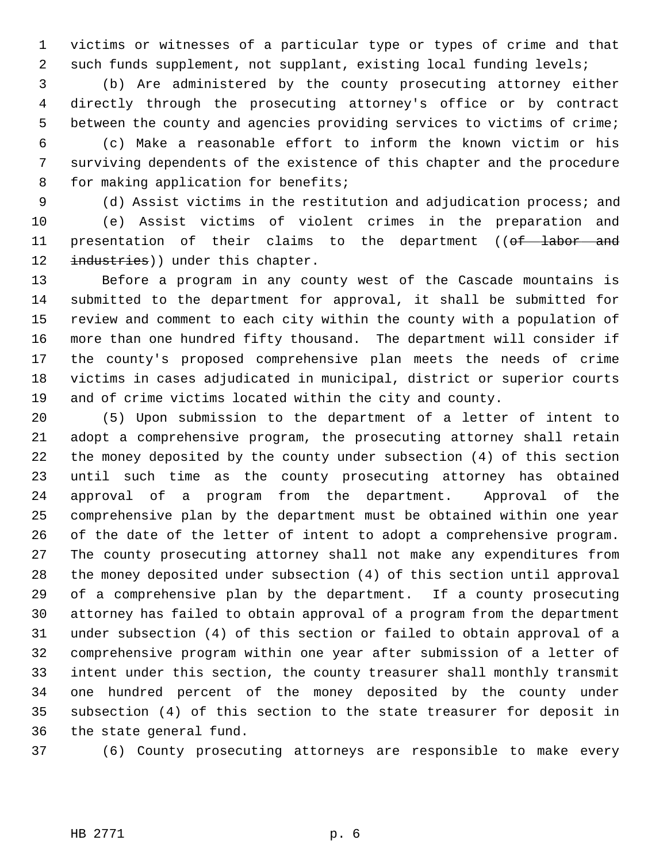1 victims or witnesses of a particular type or types of crime and that 2 such funds supplement, not supplant, existing local funding levels;

 3 (b) Are administered by the county prosecuting attorney either 4 directly through the prosecuting attorney's office or by contract 5 between the county and agencies providing services to victims of crime;

 6 (c) Make a reasonable effort to inform the known victim or his 7 surviving dependents of the existence of this chapter and the procedure 8 for making application for benefits;

 9 (d) Assist victims in the restitution and adjudication process; and 10 (e) Assist victims of violent crimes in the preparation and 11 presentation of their claims to the department ((of labor and 12 industries)) under this chapter.

13 Before a program in any county west of the Cascade mountains is 14 submitted to the department for approval, it shall be submitted for 15 review and comment to each city within the county with a population of 16 more than one hundred fifty thousand. The department will consider if 17 the county's proposed comprehensive plan meets the needs of crime 18 victims in cases adjudicated in municipal, district or superior courts 19 and of crime victims located within the city and county.

20 (5) Upon submission to the department of a letter of intent to 21 adopt a comprehensive program, the prosecuting attorney shall retain 22 the money deposited by the county under subsection (4) of this section 23 until such time as the county prosecuting attorney has obtained 24 approval of a program from the department. Approval of the 25 comprehensive plan by the department must be obtained within one year 26 of the date of the letter of intent to adopt a comprehensive program. 27 The county prosecuting attorney shall not make any expenditures from 28 the money deposited under subsection (4) of this section until approval 29 of a comprehensive plan by the department. If a county prosecuting 30 attorney has failed to obtain approval of a program from the department 31 under subsection (4) of this section or failed to obtain approval of a 32 comprehensive program within one year after submission of a letter of 33 intent under this section, the county treasurer shall monthly transmit 34 one hundred percent of the money deposited by the county under 35 subsection (4) of this section to the state treasurer for deposit in 36 the state general fund.

37 (6) County prosecuting attorneys are responsible to make every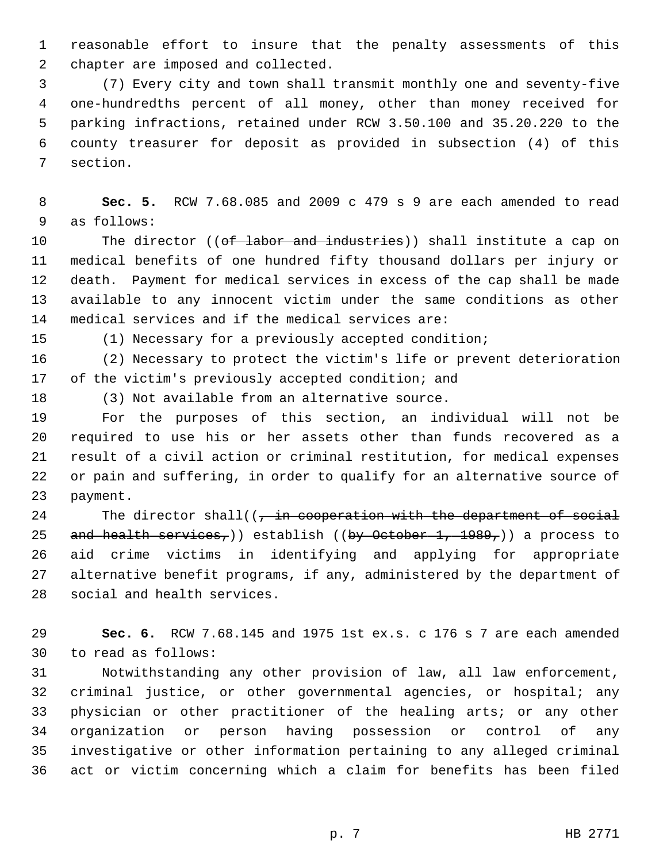1 reasonable effort to insure that the penalty assessments of this 2 chapter are imposed and collected.

 3 (7) Every city and town shall transmit monthly one and seventy-five 4 one-hundredths percent of all money, other than money received for 5 parking infractions, retained under RCW 3.50.100 and 35.20.220 to the 6 county treasurer for deposit as provided in subsection (4) of this 7 section.

 8 **Sec. 5.** RCW 7.68.085 and 2009 c 479 s 9 are each amended to read 9 as follows:

10 The director ((of labor and industries)) shall institute a cap on 11 medical benefits of one hundred fifty thousand dollars per injury or 12 death. Payment for medical services in excess of the cap shall be made 13 available to any innocent victim under the same conditions as other 14 medical services and if the medical services are:

15 (1) Necessary for a previously accepted condition;

16 (2) Necessary to protect the victim's life or prevent deterioration 17 of the victim's previously accepted condition; and

18 (3) Not available from an alternative source.

19 For the purposes of this section, an individual will not be 20 required to use his or her assets other than funds recovered as a 21 result of a civil action or criminal restitution, for medical expenses 22 or pain and suffering, in order to qualify for an alternative source of 23 payment.

24 The director shall( $(-$ in cooperation with the department of social 25 and health services,)) establish ((by October 1, 1989,)) a process to 26 aid crime victims in identifying and applying for appropriate 27 alternative benefit programs, if any, administered by the department of 28 social and health services.

29 **Sec. 6.** RCW 7.68.145 and 1975 1st ex.s. c 176 s 7 are each amended 30 to read as follows:

31 Notwithstanding any other provision of law, all law enforcement, 32 criminal justice, or other governmental agencies, or hospital; any 33 physician or other practitioner of the healing arts; or any other 34 organization or person having possession or control of any 35 investigative or other information pertaining to any alleged criminal 36 act or victim concerning which a claim for benefits has been filed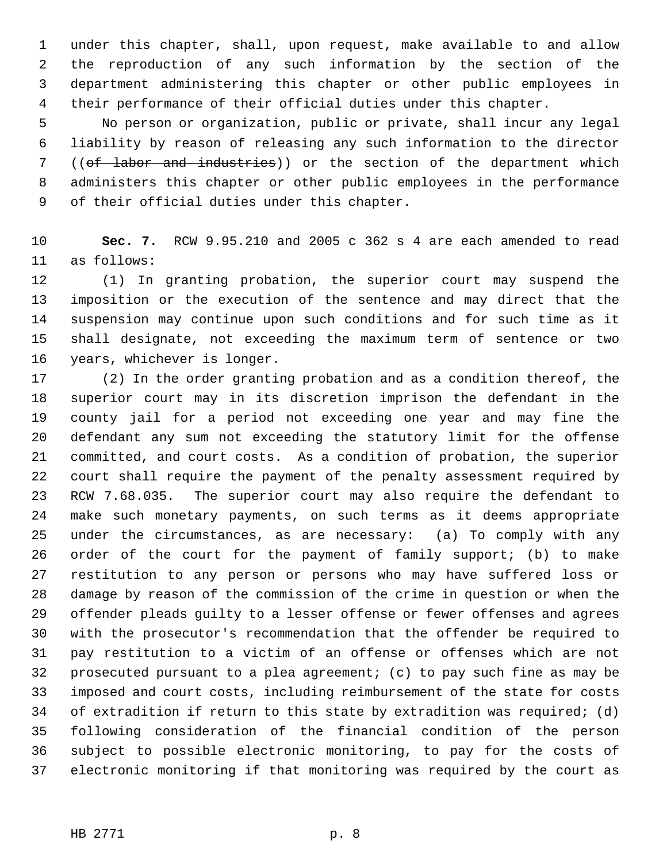1 under this chapter, shall, upon request, make available to and allow 2 the reproduction of any such information by the section of the 3 department administering this chapter or other public employees in 4 their performance of their official duties under this chapter.

 5 No person or organization, public or private, shall incur any legal 6 liability by reason of releasing any such information to the director 7 ((of labor and industries)) or the section of the department which 8 administers this chapter or other public employees in the performance 9 of their official duties under this chapter.

10 **Sec. 7.** RCW 9.95.210 and 2005 c 362 s 4 are each amended to read 11 as follows:

12 (1) In granting probation, the superior court may suspend the 13 imposition or the execution of the sentence and may direct that the 14 suspension may continue upon such conditions and for such time as it 15 shall designate, not exceeding the maximum term of sentence or two 16 years, whichever is longer.

17 (2) In the order granting probation and as a condition thereof, the 18 superior court may in its discretion imprison the defendant in the 19 county jail for a period not exceeding one year and may fine the 20 defendant any sum not exceeding the statutory limit for the offense 21 committed, and court costs. As a condition of probation, the superior 22 court shall require the payment of the penalty assessment required by 23 RCW 7.68.035. The superior court may also require the defendant to 24 make such monetary payments, on such terms as it deems appropriate 25 under the circumstances, as are necessary: (a) To comply with any 26 order of the court for the payment of family support; (b) to make 27 restitution to any person or persons who may have suffered loss or 28 damage by reason of the commission of the crime in question or when the 29 offender pleads guilty to a lesser offense or fewer offenses and agrees 30 with the prosecutor's recommendation that the offender be required to 31 pay restitution to a victim of an offense or offenses which are not 32 prosecuted pursuant to a plea agreement; (c) to pay such fine as may be 33 imposed and court costs, including reimbursement of the state for costs 34 of extradition if return to this state by extradition was required; (d) 35 following consideration of the financial condition of the person 36 subject to possible electronic monitoring, to pay for the costs of 37 electronic monitoring if that monitoring was required by the court as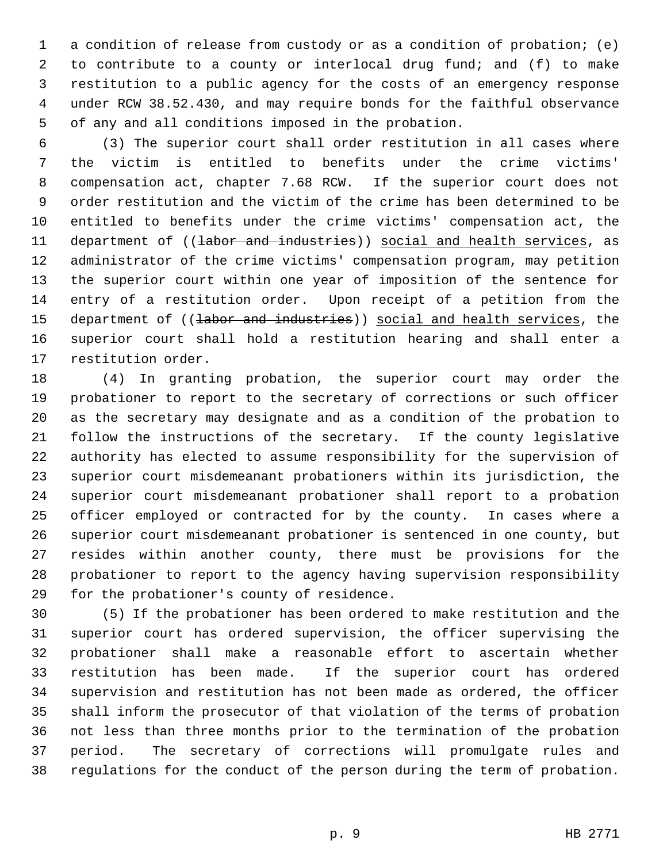1 a condition of release from custody or as a condition of probation; (e) 2 to contribute to a county or interlocal drug fund; and (f) to make 3 restitution to a public agency for the costs of an emergency response 4 under RCW 38.52.430, and may require bonds for the faithful observance 5 of any and all conditions imposed in the probation.

 6 (3) The superior court shall order restitution in all cases where 7 the victim is entitled to benefits under the crime victims' 8 compensation act, chapter 7.68 RCW. If the superior court does not 9 order restitution and the victim of the crime has been determined to be 10 entitled to benefits under the crime victims' compensation act, the 11 department of ((labor and industries)) social and health services, as 12 administrator of the crime victims' compensation program, may petition 13 the superior court within one year of imposition of the sentence for 14 entry of a restitution order. Upon receipt of a petition from the 15 department of ((labor and industries)) social and health services, the 16 superior court shall hold a restitution hearing and shall enter a 17 restitution order.

18 (4) In granting probation, the superior court may order the 19 probationer to report to the secretary of corrections or such officer 20 as the secretary may designate and as a condition of the probation to 21 follow the instructions of the secretary. If the county legislative 22 authority has elected to assume responsibility for the supervision of 23 superior court misdemeanant probationers within its jurisdiction, the 24 superior court misdemeanant probationer shall report to a probation 25 officer employed or contracted for by the county. In cases where a 26 superior court misdemeanant probationer is sentenced in one county, but 27 resides within another county, there must be provisions for the 28 probationer to report to the agency having supervision responsibility 29 for the probationer's county of residence.

30 (5) If the probationer has been ordered to make restitution and the 31 superior court has ordered supervision, the officer supervising the 32 probationer shall make a reasonable effort to ascertain whether 33 restitution has been made. If the superior court has ordered 34 supervision and restitution has not been made as ordered, the officer 35 shall inform the prosecutor of that violation of the terms of probation 36 not less than three months prior to the termination of the probation 37 period. The secretary of corrections will promulgate rules and 38 regulations for the conduct of the person during the term of probation.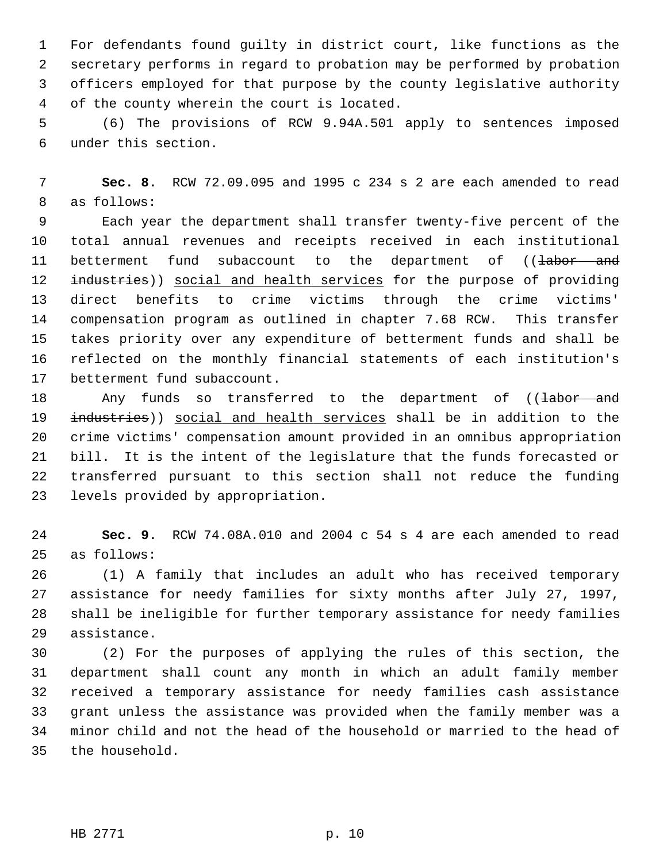1 For defendants found guilty in district court, like functions as the 2 secretary performs in regard to probation may be performed by probation 3 officers employed for that purpose by the county legislative authority 4 of the county wherein the court is located.

 5 (6) The provisions of RCW 9.94A.501 apply to sentences imposed 6 under this section.

 7 **Sec. 8.** RCW 72.09.095 and 1995 c 234 s 2 are each amended to read 8 as follows:

 9 Each year the department shall transfer twenty-five percent of the 10 total annual revenues and receipts received in each institutional 11 betterment fund subaccount to the department of ((<del>labor and</del> 12 industries)) social and health services for the purpose of providing 13 direct benefits to crime victims through the crime victims' 14 compensation program as outlined in chapter 7.68 RCW. This transfer 15 takes priority over any expenditure of betterment funds and shall be 16 reflected on the monthly financial statements of each institution's 17 betterment fund subaccount.

18 May funds so transferred to the department of ((tabor and 19 industries)) social and health services shall be in addition to the 20 crime victims' compensation amount provided in an omnibus appropriation 21 bill. It is the intent of the legislature that the funds forecasted or 22 transferred pursuant to this section shall not reduce the funding 23 levels provided by appropriation.

24 **Sec. 9.** RCW 74.08A.010 and 2004 c 54 s 4 are each amended to read 25 as follows:

26 (1) A family that includes an adult who has received temporary 27 assistance for needy families for sixty months after July 27, 1997, 28 shall be ineligible for further temporary assistance for needy families 29 assistance.

30 (2) For the purposes of applying the rules of this section, the 31 department shall count any month in which an adult family member 32 received a temporary assistance for needy families cash assistance 33 grant unless the assistance was provided when the family member was a 34 minor child and not the head of the household or married to the head of 35 the household.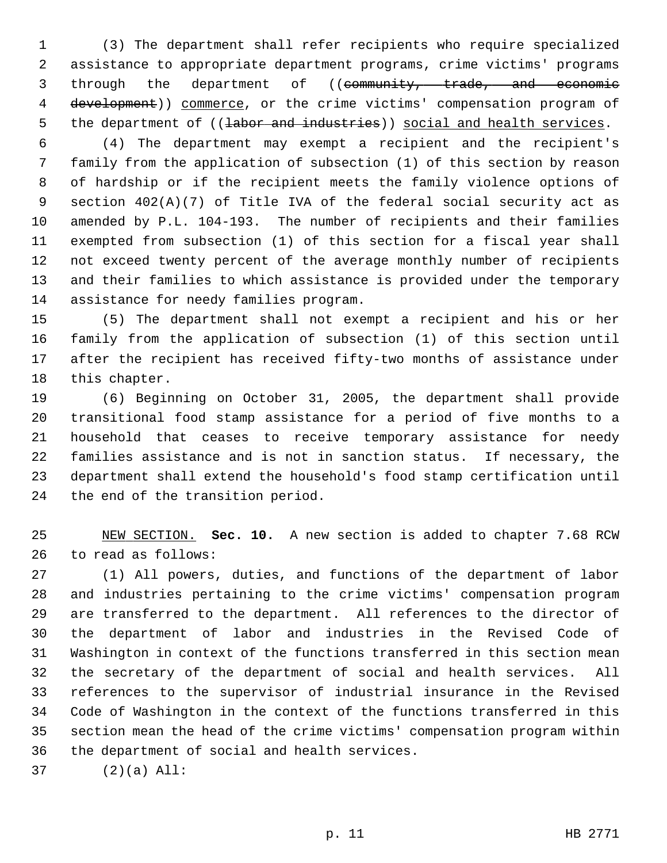1 (3) The department shall refer recipients who require specialized 2 assistance to appropriate department programs, crime victims' programs 3 through the department of ((community, trade, and economic 4 development)) commerce, or the crime victims' compensation program of 5 the department of ((labor and industries)) social and health services.

 6 (4) The department may exempt a recipient and the recipient's 7 family from the application of subsection (1) of this section by reason 8 of hardship or if the recipient meets the family violence options of 9 section 402(A)(7) of Title IVA of the federal social security act as 10 amended by P.L. 104-193. The number of recipients and their families 11 exempted from subsection (1) of this section for a fiscal year shall 12 not exceed twenty percent of the average monthly number of recipients 13 and their families to which assistance is provided under the temporary 14 assistance for needy families program.

15 (5) The department shall not exempt a recipient and his or her 16 family from the application of subsection (1) of this section until 17 after the recipient has received fifty-two months of assistance under 18 this chapter.

19 (6) Beginning on October 31, 2005, the department shall provide 20 transitional food stamp assistance for a period of five months to a 21 household that ceases to receive temporary assistance for needy 22 families assistance and is not in sanction status. If necessary, the 23 department shall extend the household's food stamp certification until 24 the end of the transition period.

25 NEW SECTION. **Sec. 10.** A new section is added to chapter 7.68 RCW 26 to read as follows:

27 (1) All powers, duties, and functions of the department of labor 28 and industries pertaining to the crime victims' compensation program 29 are transferred to the department. All references to the director of 30 the department of labor and industries in the Revised Code of 31 Washington in context of the functions transferred in this section mean 32 the secretary of the department of social and health services. All 33 references to the supervisor of industrial insurance in the Revised 34 Code of Washington in the context of the functions transferred in this 35 section mean the head of the crime victims' compensation program within 36 the department of social and health services.

37 (2)(a) All: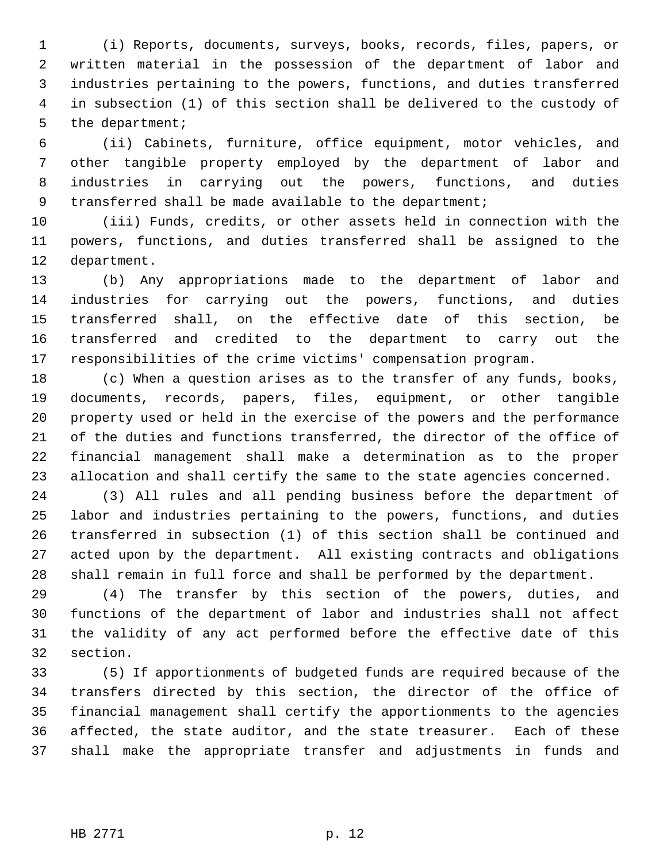1 (i) Reports, documents, surveys, books, records, files, papers, or 2 written material in the possession of the department of labor and 3 industries pertaining to the powers, functions, and duties transferred 4 in subsection (1) of this section shall be delivered to the custody of 5 the department;

 6 (ii) Cabinets, furniture, office equipment, motor vehicles, and 7 other tangible property employed by the department of labor and 8 industries in carrying out the powers, functions, and duties 9 transferred shall be made available to the department;

10 (iii) Funds, credits, or other assets held in connection with the 11 powers, functions, and duties transferred shall be assigned to the 12 department.

13 (b) Any appropriations made to the department of labor and 14 industries for carrying out the powers, functions, and duties 15 transferred shall, on the effective date of this section, be 16 transferred and credited to the department to carry out the 17 responsibilities of the crime victims' compensation program.

18 (c) When a question arises as to the transfer of any funds, books, 19 documents, records, papers, files, equipment, or other tangible 20 property used or held in the exercise of the powers and the performance 21 of the duties and functions transferred, the director of the office of 22 financial management shall make a determination as to the proper 23 allocation and shall certify the same to the state agencies concerned.

24 (3) All rules and all pending business before the department of 25 labor and industries pertaining to the powers, functions, and duties 26 transferred in subsection (1) of this section shall be continued and 27 acted upon by the department. All existing contracts and obligations 28 shall remain in full force and shall be performed by the department.

29 (4) The transfer by this section of the powers, duties, and 30 functions of the department of labor and industries shall not affect 31 the validity of any act performed before the effective date of this 32 section.

33 (5) If apportionments of budgeted funds are required because of the 34 transfers directed by this section, the director of the office of 35 financial management shall certify the apportionments to the agencies 36 affected, the state auditor, and the state treasurer. Each of these 37 shall make the appropriate transfer and adjustments in funds and